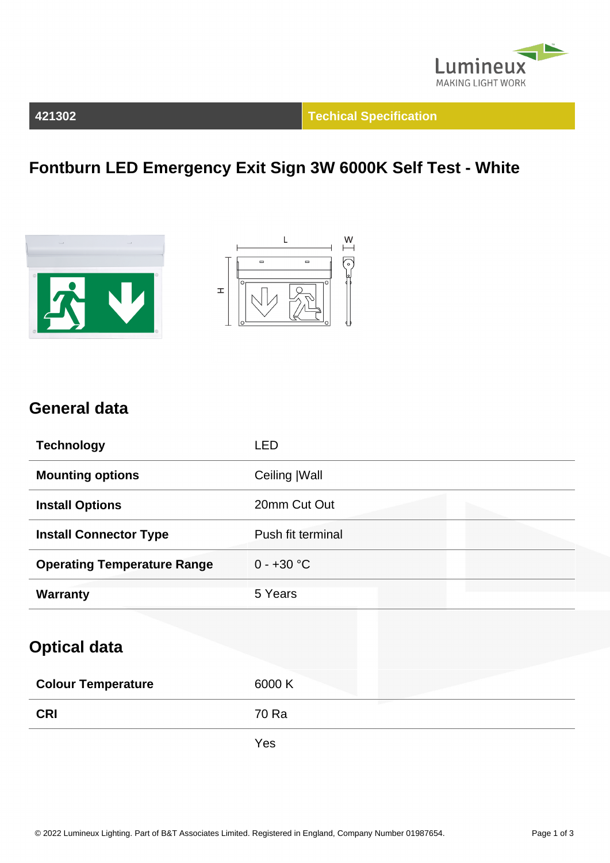

#### **421302 Techical Specification**

## **Fontburn LED Emergency Exit Sign 3W 6000K Self Test - White**





### **General data**

| <b>Technology</b>                  | <b>LED</b>        |
|------------------------------------|-------------------|
| <b>Mounting options</b>            | Ceiling   Wall    |
| <b>Install Options</b>             | 20mm Cut Out      |
| <b>Install Connector Type</b>      | Push fit terminal |
| <b>Operating Temperature Range</b> | $0 - +30 °C$      |
| <b>Warranty</b>                    | 5 Years           |
| <b>Optical data</b>                |                   |
| <b>Colour Temperature</b>          | 6000 K            |
| <b>CRI</b>                         | 70 Ra             |

Yes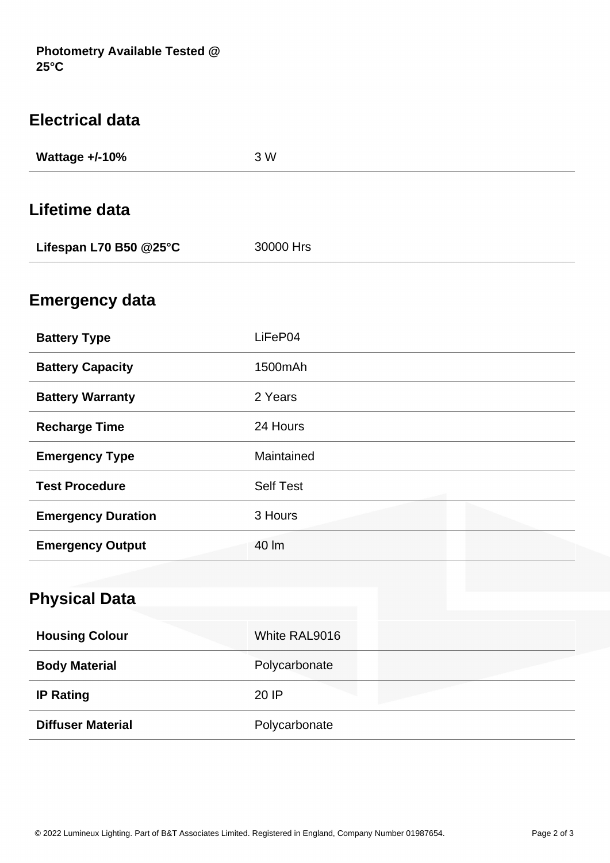| <b>Electrical data</b>    |                  |  |
|---------------------------|------------------|--|
| <b>Wattage +/-10%</b>     | 3 W              |  |
| Lifetime data             |                  |  |
|                           |                  |  |
| Lifespan L70 B50 @25°C    | 30000 Hrs        |  |
| <b>Emergency data</b>     |                  |  |
|                           |                  |  |
| <b>Battery Type</b>       | LiFeP04          |  |
| <b>Battery Capacity</b>   | 1500mAh          |  |
| <b>Battery Warranty</b>   | 2 Years          |  |
| <b>Recharge Time</b>      | 24 Hours         |  |
| <b>Emergency Type</b>     | Maintained       |  |
| <b>Test Procedure</b>     | <b>Self Test</b> |  |
| <b>Emergency Duration</b> | 3 Hours          |  |
| <b>Emergency Output</b>   | 40 lm            |  |
|                           |                  |  |
| <b>Physical Data</b>      |                  |  |
|                           |                  |  |

| <b>Housing Colour</b>    | White RAL9016 |
|--------------------------|---------------|
| <b>Body Material</b>     | Polycarbonate |
| <b>IP Rating</b>         | 20 IP         |
| <b>Diffuser Material</b> | Polycarbonate |